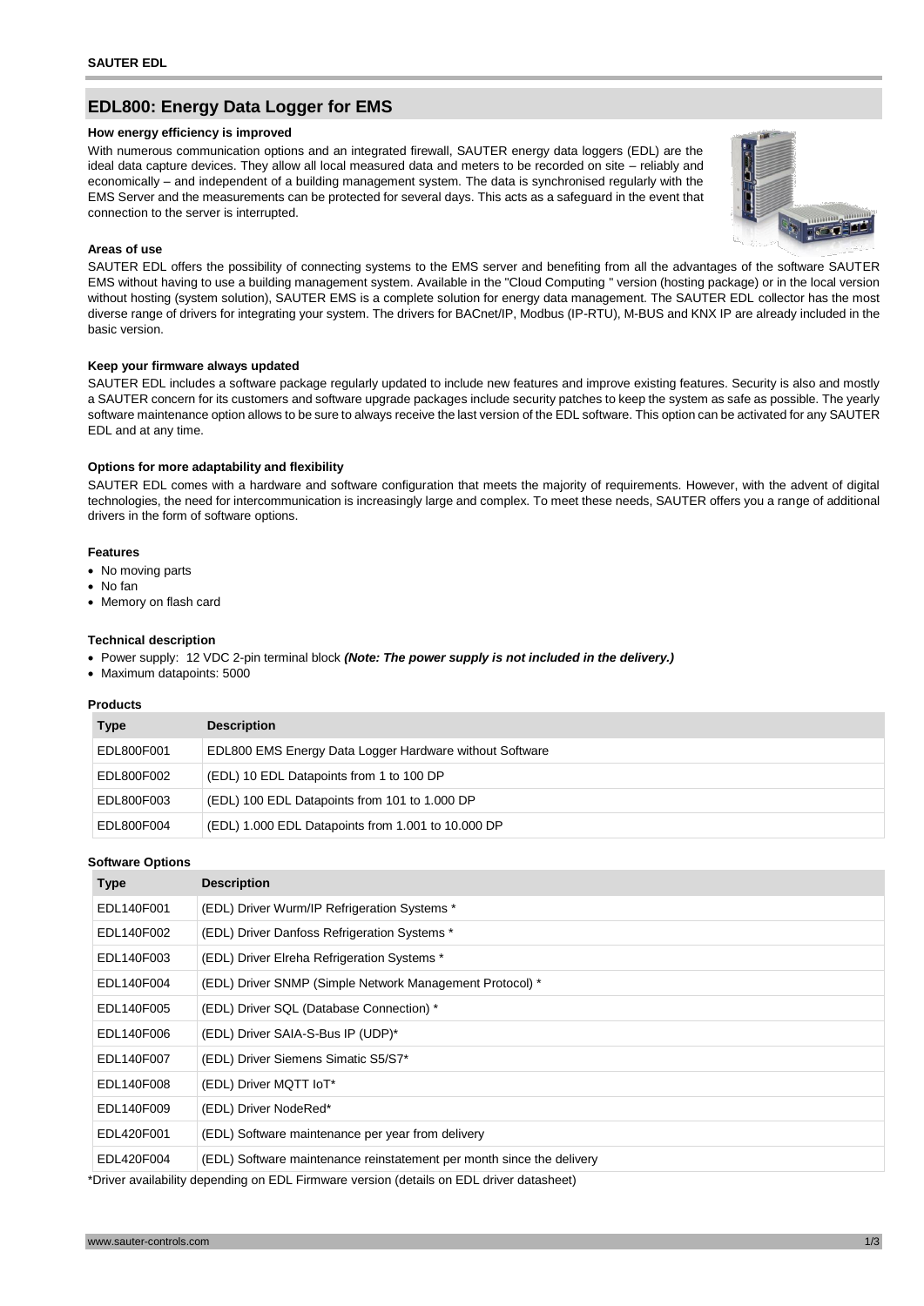# **EDL800: Energy Data Logger for EMS**

#### **How energy efficiency is improved**

With numerous communication options and an integrated firewall, SAUTER energy data loggers (EDL) are the ideal data capture devices. They allow all local measured data and meters to be recorded on site – reliably and economically – and independent of a building management system. The data is synchronised regularly with the EMS Server and the measurements can be protected for several days. This acts as a safeguard in the event that connection to the server is interrupted.



#### **Areas of use**

SAUTER EDL offers the possibility of connecting systems to the EMS server and benefiting from all the advantages of the software SAUTER EMS without having to use a building management system. Available in the "Cloud Computing " version (hosting package) or in the local version without hosting (system solution), SAUTER EMS is a complete solution for energy data management. The SAUTER EDL collector has the most diverse range of drivers for integrating your system. The drivers for BACnet/IP, Modbus (IP-RTU), M-BUS and KNX IP are already included in the basic version.

# **Keep your firmware always updated**

SAUTER EDL includes a software package regularly updated to include new features and improve existing features. Security is also and mostly a SAUTER concern for its customers and software upgrade packages include security patches to keep the system as safe as possible. The yearly software maintenance option allows to be sure to always receive the last version of the EDL software. This option can be activated for any SAUTER EDL and at any time.

#### **Options for more adaptability and flexibility**

SAUTER EDL comes with a hardware and software configuration that meets the majority of requirements. However, with the advent of digital technologies, the need for intercommunication is increasingly large and complex. To meet these needs, SAUTER offers you a range of additional drivers in the form of software options.

# **Features**

- No moving parts
- No fan
- Memory on flash card

#### **Technical description**

- Power supply: 12 VDC 2-pin terminal block *(Note: The power supply is not included in the delivery.)*
- Maximum datapoints: 5000

### **Products**

| <b>Type</b> | <b>Description</b>                                      |
|-------------|---------------------------------------------------------|
| EDL800F001  | EDL800 EMS Energy Data Logger Hardware without Software |
| EDL800F002  | (EDL) 10 EDL Datapoints from 1 to 100 DP                |
| EDL800F003  | (EDL) 100 EDL Datapoints from 101 to 1.000 DP           |
| EDL800F004  | (EDL) 1.000 EDL Datapoints from 1.001 to 10.000 DP      |

#### **Software Options**

| <b>Type</b> | <b>Description</b>                                                    |
|-------------|-----------------------------------------------------------------------|
| EDL140F001  | (EDL) Driver Wurm/IP Refrigeration Systems *                          |
| EDL140F002  | (EDL) Driver Danfoss Refrigeration Systems *                          |
| EDL140F003  | (EDL) Driver Elreha Refrigeration Systems *                           |
| EDL140F004  | (EDL) Driver SNMP (Simple Network Management Protocol) *              |
| EDL140F005  | (EDL) Driver SQL (Database Connection) *                              |
| EDL140F006  | (EDL) Driver SAIA-S-Bus IP (UDP)*                                     |
| EDL140F007  | (EDL) Driver Siemens Simatic S5/S7*                                   |
| EDL140F008  | (EDL) Driver MQTT IoT*                                                |
| EDL140F009  | (EDL) Driver NodeRed*                                                 |
| EDL420F001  | (EDL) Software maintenance per year from delivery                     |
| EDL420F004  | (EDL) Software maintenance reinstatement per month since the delivery |

\*Driver availability depending on EDL Firmware version (details on EDL driver datasheet)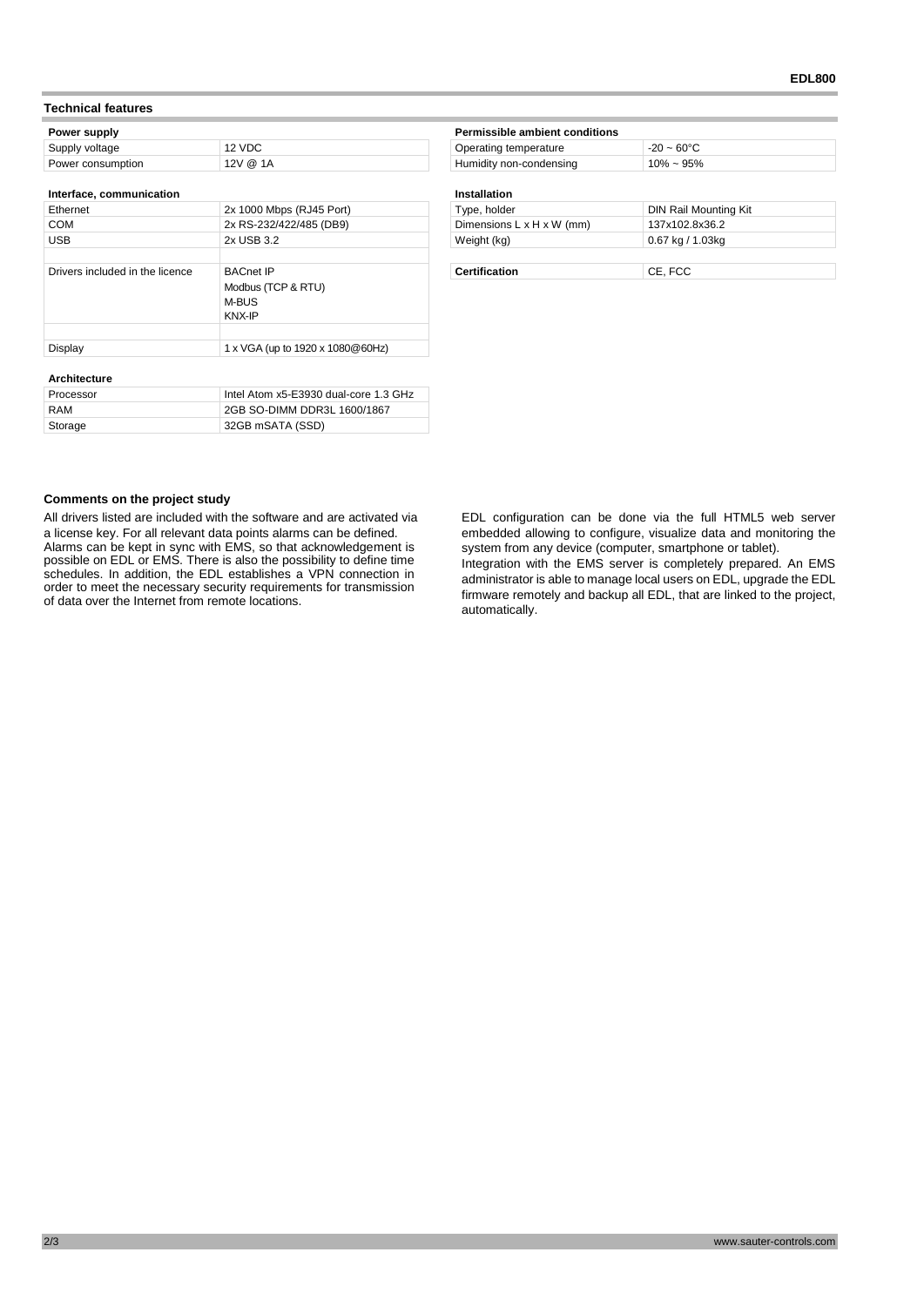#### **Technical features**

| Power supply      |          | Permissible ambient conditions |                      |
|-------------------|----------|--------------------------------|----------------------|
| Supply voltage    | 12 VDC   | Operating temperature          | $-20 - 60^{\circ}$ C |
| Power consumption | 12V @ 1A | Humidity non-condensing        | $10\% \sim 95\%$     |

#### **Interface, communication Installation**

| Ethernet                        | 2x 1000 Mbps (RJ45 Port)         | Type, holder                          | DIN Rail Mounting Kit |
|---------------------------------|----------------------------------|---------------------------------------|-----------------------|
| <b>COM</b>                      | 2x RS-232/422/485 (DB9)          | Dimensions $L \times H \times W$ (mm) | 137x102.8x36.2        |
| <b>USB</b>                      | 2x USB 3.2                       | Weight (kg)                           | $0.67$ kg / 1.03kg    |
|                                 |                                  |                                       |                       |
| Drivers included in the licence | <b>BACnet IP</b>                 | <b>Certification</b>                  | CE, FCC               |
|                                 | Modbus (TCP & RTU)               |                                       |                       |
|                                 | M-BUS                            |                                       |                       |
|                                 | KNX-IP                           |                                       |                       |
|                                 |                                  |                                       |                       |
| Display                         | 1 x VGA (up to 1920 x 1080@60Hz) |                                       |                       |
|                                 |                                  |                                       |                       |

#### **Architecture**

| Processor | Intel Atom x5-E3930 dual-core 1.3 GHz |
|-----------|---------------------------------------|
| RAM       | 2GB SO-DIMM DDR3L 1600/1867           |
| Storage   | 32GB mSATA (SSD)                      |

| Operating temperature                 | $-20 - 60^{\circ}C$   |
|---------------------------------------|-----------------------|
| Humidity non-condensing               | $10\% \sim 95\%$      |
| Installation                          |                       |
| Type, holder                          | DIN Rail Mounting Kit |
| Dimensions $L \times H \times W$ (mm) | 137x102.8x36.2        |

# **Comments on the project study**

All drivers listed are included with the software and are activated via a license key. For all relevant data points alarms can be defined. Alarms can be kept in sync with EMS, so that acknowledgement is possible on EDL or EMS. There is also the possibility to define time schedules. In addition, the EDL establishes a VPN connection in order to meet the necessary security requirements for transmission of data over the Internet from remote locations.

EDL configuration can be done via the full HTML5 web server embedded allowing to configure, visualize data and monitoring the system from any device (computer, smartphone or tablet). Integration with the EMS server is completely prepared. An EMS administrator is able to manage local users on EDL, upgrade the EDL firmware remotely and backup all EDL, that are linked to the project, automatically.